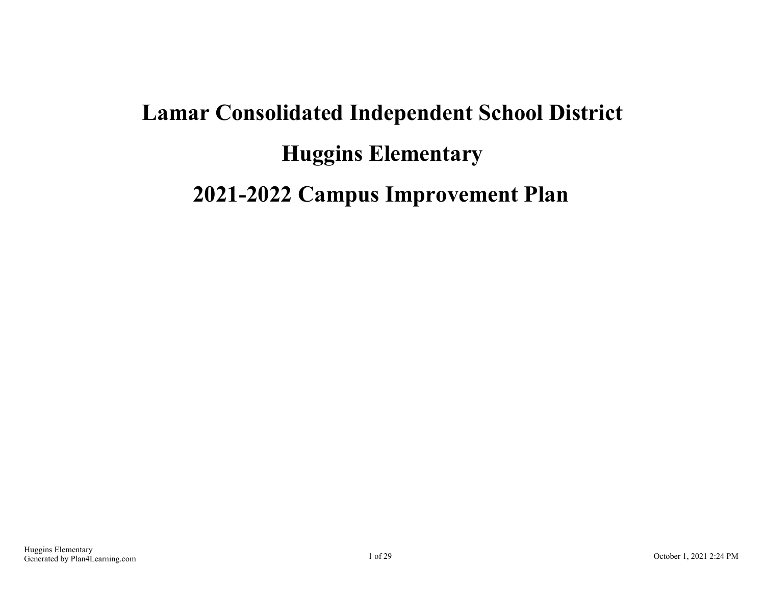# **Lamar Consolidated Independent School District Huggins Elementary 2021-2022 Campus Improvement Plan**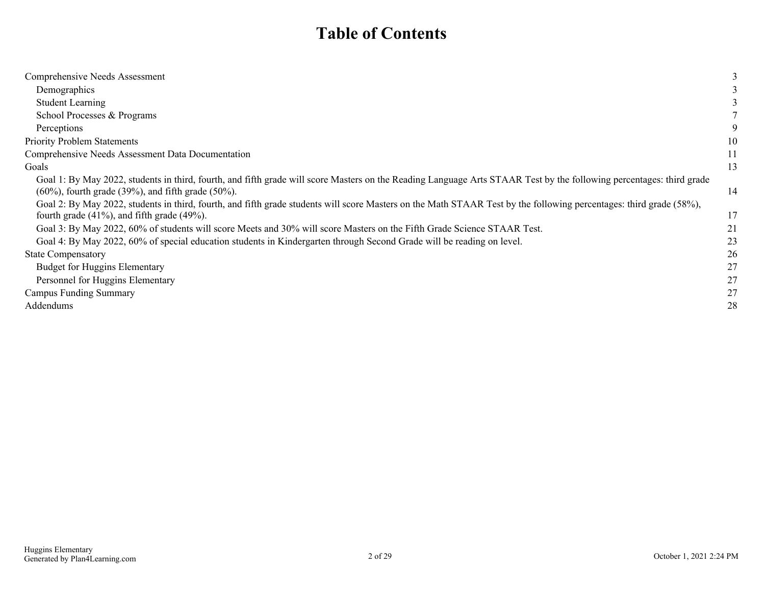### **Table of Contents**

| Comprehensive Needs Assessment                                                                                                                                       |    |
|----------------------------------------------------------------------------------------------------------------------------------------------------------------------|----|
| Demographics                                                                                                                                                         |    |
| <b>Student Learning</b>                                                                                                                                              |    |
| School Processes & Programs                                                                                                                                          |    |
| Perceptions                                                                                                                                                          |    |
| <b>Priority Problem Statements</b>                                                                                                                                   | 10 |
| Comprehensive Needs Assessment Data Documentation                                                                                                                    | 11 |
| Goals                                                                                                                                                                | 13 |
| Goal 1: By May 2022, students in third, fourth, and fifth grade will score Masters on the Reading Language Arts STAAR Test by the following percentages: third grade |    |
| $(60\%)$ , fourth grade $(39\%)$ , and fifth grade $(50\%)$ .                                                                                                        | 14 |
| Goal 2: By May 2022, students in third, fourth, and fifth grade students will score Masters on the Math STAAR Test by the following percentages: third grade (58%),  |    |
| fourth grade $(41\%)$ , and fifth grade $(49\%)$ .                                                                                                                   | 17 |
| Goal 3: By May 2022, 60% of students will score Meets and 30% will score Masters on the Fifth Grade Science STAAR Test.                                              | 21 |
| Goal 4: By May 2022, 60% of special education students in Kindergarten through Second Grade will be reading on level.                                                | 23 |
| <b>State Compensatory</b>                                                                                                                                            | 26 |
| <b>Budget for Huggins Elementary</b>                                                                                                                                 | 27 |
| Personnel for Huggins Elementary                                                                                                                                     | 27 |
| <b>Campus Funding Summary</b>                                                                                                                                        | 27 |
| Addendums                                                                                                                                                            | 28 |
|                                                                                                                                                                      |    |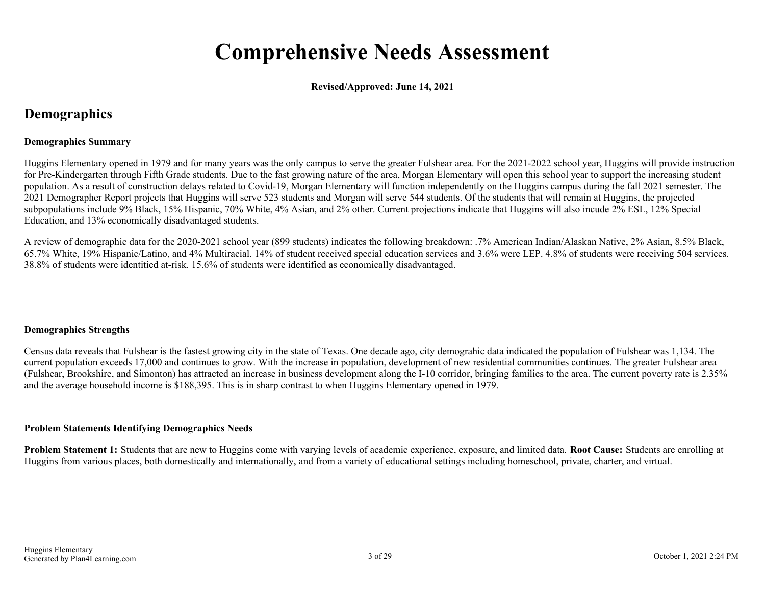## **Comprehensive Needs Assessment**

**Revised/Approved: June 14, 2021**

### <span id="page-2-0"></span>**Demographics**

#### **Demographics Summary**

Huggins Elementary opened in 1979 and for many years was the only campus to serve the greater Fulshear area. For the 2021-2022 school year, Huggins will provide instruction for Pre-Kindergarten through Fifth Grade students. Due to the fast growing nature of the area, Morgan Elementary will open this school year to support the increasing student population. As a result of construction delays related to Covid-19, Morgan Elementary will function independently on the Huggins campus during the fall 2021 semester. The 2021 Demographer Report projects that Huggins will serve 523 students and Morgan will serve 544 students. Of the students that will remain at Huggins, the projected subpopulations include 9% Black, 15% Hispanic, 70% White, 4% Asian, and 2% other. Current projections indicate that Huggins will also incude 2% ESL, 12% Special Education, and 13% economically disadvantaged students.

A review of demographic data for the 2020-2021 school year (899 students) indicates the following breakdown: .7% American Indian/Alaskan Native, 2% Asian, 8.5% Black, 65.7% White, 19% Hispanic/Latino, and 4% Multiracial. 14% of student received special education services and 3.6% were LEP. 4.8% of students were receiving 504 services. 38.8% of students were identitied at-risk. 15.6% of students were identified as economically disadvantaged.

#### **Demographics Strengths**

Census data reveals that Fulshear is the fastest growing city in the state of Texas. One decade ago, city demograhic data indicated the population of Fulshear was 1,134. The current population exceeds 17,000 and continues to grow. With the increase in population, development of new residential communities continues. The greater Fulshear area (Fulshear, Brookshire, and Simonton) has attracted an increase in business development along the I-10 corridor, bringing families to the area. The current poverty rate is 2.35% and the average household income is \$188,395. This is in sharp contrast to when Huggins Elementary opened in 1979.

#### **Problem Statements Identifying Demographics Needs**

**Problem Statement 1:** Students that are new to Huggins come with varying levels of academic experience, exposure, and limited data. **Root Cause:** Students are enrolling at Huggins from various places, both domestically and internationally, and from a variety of educational settings including homeschool, private, charter, and virtual.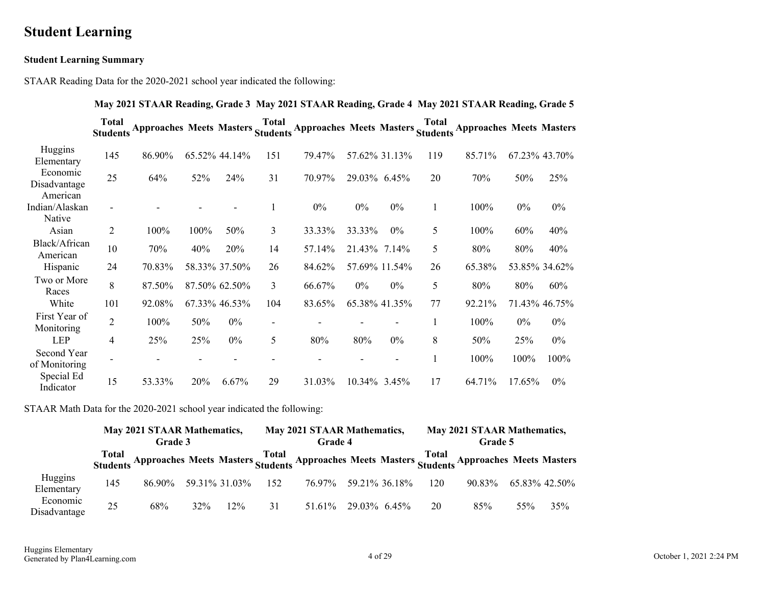### <span id="page-3-0"></span>**Student Learning**

#### **Student Learning Summary**

STAAR Reading Data for the 2020-2021 school year indicated the following:

|                                      |                                 |                                   |      |               |                          |                                   |              |                |              | May 2021 STAAR Reading, Grade 3 May 2021 STAAR Reading, Grade 4 May 2021 STAAR Reading, Grade 5 |        |               |
|--------------------------------------|---------------------------------|-----------------------------------|------|---------------|--------------------------|-----------------------------------|--------------|----------------|--------------|-------------------------------------------------------------------------------------------------|--------|---------------|
|                                      | <b>Total</b><br><b>Students</b> | Approaches Meets Masters Students |      |               | <b>Total</b>             | Approaches Meets Masters Students |              |                | <b>Total</b> | <b>Approaches Meets Masters</b>                                                                 |        |               |
| Huggins<br>Elementary                | 145                             | 86.90%                            |      | 65.52% 44.14% | 151                      | 79.47%                            |              | 57.62% 31.13%  | 119          | 85.71%                                                                                          |        | 67.23% 43.70% |
| Economic<br>Disadvantage             | 25                              | 64%                               | 52%  | 24%           | 31                       | 70.97%                            | 29.03% 6.45% |                | 20           | 70%                                                                                             | 50%    | 25%           |
| American<br>Indian/Alaskan<br>Native | $\overline{a}$                  |                                   |      |               | 1                        | $0\%$                             | $0\%$        | $0\%$          | 1            | 100%                                                                                            | 0%     | $0\%$         |
| Asian                                | $\overline{2}$                  | 100%                              | 100% | 50%           | 3                        | 33.33%                            | 33.33%       | $0\%$          | 5            | 100%                                                                                            | 60%    | 40%           |
| Black/African<br>American            | 10                              | 70%                               | 40%  | 20%           | 14                       | 57.14%                            | 21.43% 7.14% |                | 5            | 80%                                                                                             | 80%    | 40%           |
| Hispanic                             | 24                              | 70.83%                            |      | 58.33% 37.50% | 26                       | 84.62%                            |              | 57.69% 11.54%  | 26           | 65.38%                                                                                          |        | 53.85% 34.62% |
| Two or More<br>Races                 | 8                               | 87.50%                            |      | 87.50% 62.50% | 3                        | 66.67%                            | $0\%$        | $0\%$          | 5            | 80%                                                                                             | 80%    | 60%           |
| White                                | 101                             | 92.08%                            |      | 67.33% 46.53% | 104                      | 83.65%                            |              | 65.38% 41.35%  | 77           | 92.21%                                                                                          |        | 71.43% 46.75% |
| First Year of<br>Monitoring          | $\overline{2}$                  | 100%                              | 50%  | $0\%$         | $\overline{\phantom{a}}$ |                                   |              | -              | 1            | 100%                                                                                            | 0%     | $0\%$         |
| <b>LEP</b>                           | $\overline{4}$                  | 25%                               | 25%  | $0\%$         | 5                        | 80%                               | 80%          | $0\%$          | 8            | 50%                                                                                             | 25%    | $0\%$         |
| Second Year<br>of Monitoring         |                                 |                                   |      |               |                          |                                   |              | $\blacksquare$ | $\mathbf{1}$ | 100%                                                                                            | 100%   | 100%          |
| Special Ed<br>Indicator              | 15                              | 53.33%                            | 20%  | 6.67%         | 29                       | 31.03%                            | 10.34% 3.45% |                | 17           | 64.71%                                                                                          | 17.65% | $0\%$         |

STAAR Math Data for the 2020-2021 school year indicated the following:

|                          |     | <b>May 2021 STAAR Mathematics,</b><br>Grade 3 |     | <b>May 2021 STAAR Mathematics,</b><br>Grade 4 |    |                      |  | May 2021 STAAR Mathematics,<br>Grade 5 |     |                                                                                                                |     |               |
|--------------------------|-----|-----------------------------------------------|-----|-----------------------------------------------|----|----------------------|--|----------------------------------------|-----|----------------------------------------------------------------------------------------------------------------|-----|---------------|
|                          |     |                                               |     |                                               |    |                      |  |                                        |     | Total<br>Students Approaches Meets Masters Students Approaches Meets Masters Students Approaches Meets Masters |     |               |
| Huggins<br>Elementary    | 145 | 86.90%                                        |     | 59.31% 31.03% 152                             |    | 76.97% 59.21% 36.18% |  |                                        | 120 | 90.83%                                                                                                         |     | 65.83% 42.50% |
| Economic<br>Disadvantage | 25  | 68%                                           | 32% | 12%                                           | 31 | 51.61% 29.03% 6.45%  |  |                                        | 20  | 85%                                                                                                            | 55% | 35%           |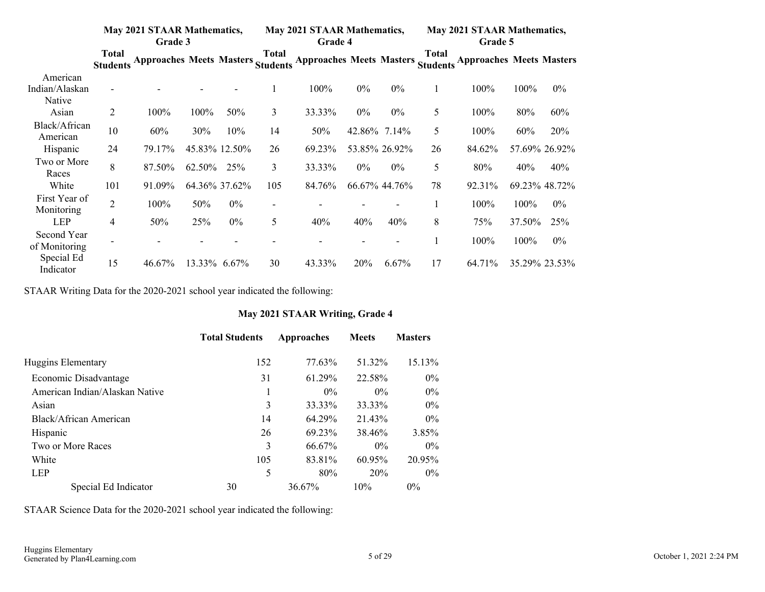|                              |                                 | <b>May 2021 STAAR Mathematics,</b><br>Grade 3 |        |               | <b>May 2021 STAAR Mathematics,</b><br>Grade 4 |                                 |        | <b>May 2021 STAAR Mathematics,</b><br>Grade 5 |                          |                                 |        |               |
|------------------------------|---------------------------------|-----------------------------------------------|--------|---------------|-----------------------------------------------|---------------------------------|--------|-----------------------------------------------|--------------------------|---------------------------------|--------|---------------|
|                              | <b>Total</b><br><b>Students</b> | Approaches Meets Masters Students             |        |               | <b>Total</b>                                  | <b>Approaches Meets Masters</b> |        |                                               | Total<br><b>Students</b> | <b>Approaches Meets Masters</b> |        |               |
| American                     |                                 |                                               |        |               |                                               |                                 |        |                                               |                          |                                 |        |               |
| Indian/Alaskan<br>Native     |                                 |                                               |        |               |                                               | 100%                            | $0\%$  | 0%                                            |                          | 100%                            | 100%   | $0\%$         |
| Asian                        | 2                               | 100%                                          | 100%   | 50%           | 3                                             | 33.33%                          | $0\%$  | $0\%$                                         | 5                        | 100%                            | 80%    | 60%           |
| Black/African<br>American    | 10                              | 60%                                           | 30%    | 10%           | 14                                            | 50%                             | 42.86% | 7.14%                                         | 5                        | 100%                            | 60%    | 20%           |
| Hispanic                     | 24                              | 79.17%                                        |        | 45.83% 12.50% | 26                                            | 69.23%                          |        | 53.85% 26.92%                                 | 26                       | 84.62%                          |        | 57.69% 26.92% |
| Two or More<br>Races         | 8                               | 87.50%                                        | 62.50% | 25%           | 3                                             | 33.33%                          | $0\%$  | $0\%$                                         | 5                        | 80%                             | 40%    | 40%           |
| White                        | 101                             | 91.09%                                        |        | 64.36% 37.62% | 105                                           | 84.76%                          |        | 66.67% 44.76%                                 | 78                       | 92.31%                          |        | 69.23% 48.72% |
| First Year of<br>Monitoring  | $\overline{2}$                  | 100%                                          | 50%    | $0\%$         | $\overline{\phantom{a}}$                      |                                 |        |                                               |                          | 100%                            | 100%   | $0\%$         |
| <b>LEP</b>                   | 4                               | 50%                                           | 25%    | $0\%$         | 5                                             | 40%                             | 40%    | 40%                                           | 8                        | 75%                             | 37.50% | 25%           |
| Second Year<br>of Monitoring |                                 |                                               |        |               |                                               |                                 |        | $\overline{\phantom{0}}$                      |                          | 100%                            | 100%   | $0\%$         |
| Special Ed<br>Indicator      | 15                              | 46.67%                                        |        | 13.33% 6.67%  | 30                                            | 43.33%                          | 20%    | 6.67%                                         | 17                       | 64.71%                          |        | 35.29% 23.53% |

STAAR Writing Data for the 2020-2021 school year indicated the following:

#### **May 2021 STAAR Writing, Grade 4**

|                                | <b>Total Students</b> | Approaches | <b>Meets</b> | <b>Masters</b> |
|--------------------------------|-----------------------|------------|--------------|----------------|
| Huggins Elementary             | 152                   | 77.63%     | 51.32%       | 15.13%         |
| Economic Disadvantage          | 31                    | 61.29%     | 22.58%       | $0\%$          |
| American Indian/Alaskan Native |                       | $0\%$      | $0\%$        | $0\%$          |
| Asian                          | 3                     | 33.33%     | 33.33%       | $0\%$          |
| Black/African American         | 14                    | 64.29%     | 21.43%       | $0\%$          |
| Hispanic                       | 26                    | 69.23%     | 38.46%       | 3.85%          |
| Two or More Races              | 3                     | 66.67%     | $0\%$        | $0\%$          |
| White                          | 105                   | 83.81%     | 60.95%       | 20.95%         |
| <b>LEP</b>                     | 5                     | 80%        | 20%          | $0\%$          |
| Special Ed Indicator           | 30                    | 36.67%     | 10%          | $0\%$          |

STAAR Science Data for the 2020-2021 school year indicated the following: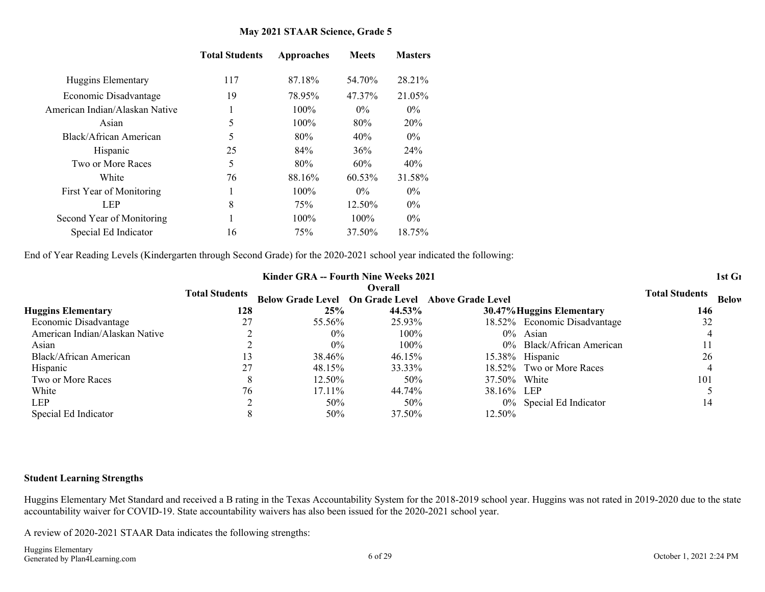#### **May 2021 STAAR Science, Grade 5**

|                                | <b>Total Students</b> | Approaches | <b>Meets</b> | <b>Masters</b> |
|--------------------------------|-----------------------|------------|--------------|----------------|
| Huggins Elementary             | 117                   | 87.18%     | 54.70%       | 28.21%         |
| Economic Disadvantage          | 19                    | 78.95%     | 47.37%       | 21.05%         |
| American Indian/Alaskan Native |                       | $100\%$    | $0\%$        | $0\%$          |
| Asian                          | 5                     | $100\%$    | 80%          | 20%            |
| Black/African American         | 5                     | 80%        | 40%          | $0\%$          |
| Hispanic                       | 25                    | 84%        | 36%          | 24%            |
| Two or More Races              | 5                     | 80%        | 60%          | 40%            |
| White                          | 76                    | 88.16%     | 60.53%       | 31.58%         |
| First Year of Monitoring       |                       | $100\%$    | $0\%$        | $0\%$          |
| <b>LEP</b>                     | 8                     | 75%        | 12.50%       | $0\%$          |
| Second Year of Monitoring      |                       | $100\%$    | $100\%$      | $0\%$          |
| Special Ed Indicator           | 16                    | 75%        | 37.50%       | 18.75%         |

End of Year Reading Levels (Kindergarten through Second Grade) for the 2020-2021 school year indicated the following:

|                                |     | Kinder GRA -- Fourth Nine Weeks 2021 |     |         |                                                                   | 1st Gı               |
|--------------------------------|-----|--------------------------------------|-----|---------|-------------------------------------------------------------------|----------------------|
|                                |     |                                      |     | Overall | Total Students Below Grade Level On Grade Level Above Grade Level | Total Students Below |
| <b>Huggins Elementary</b>      | 128 |                                      | 25% | 44.53%  | 30.47% Huggins Elementary                                         | 146                  |
| <b>Economic Disadvantage</b>   |     | 55.56%                               |     | 25.93%  | 18.52% Economic Disadvantage                                      |                      |
| American Indian/Alaskan Native |     |                                      |     | 100%    | $0\%$ Asian                                                       |                      |
| Asıan                          |     |                                      |     | 100%    | 0% Black/African American                                         |                      |
| <b>Black/African American</b>  |     | 38.46%                               |     | 46.15%  | 15.38% Hispanic                                                   |                      |
| Hispanic                       |     | 48.15%                               |     | 33.33%  | 18.52% Two or More Races                                          |                      |
| Two or More Races              |     | 12.50%                               |     | 50%     | 37.50% White                                                      |                      |
| White                          |     | 17.11%                               |     | 44.74%  | 38.16% LEP                                                        |                      |
| <b>LEP</b>                     |     |                                      | 50% | 50%     | 0% Special Ed Indicator                                           |                      |
| Special Ed Indicator           |     |                                      |     | 37.50%  | 12.50%                                                            |                      |

#### **Student Learning Strengths**

Huggins Elementary Met Standard and received a B rating in the Texas Accountability System for the 2018-2019 school year. Huggins was not rated in 2019-2020 due to the state accountability waiver for COVID-19. State accountability waivers has also been issued for the 2020-2021 school year.

A review of 2020-2021 STAAR Data indicates the following strengths: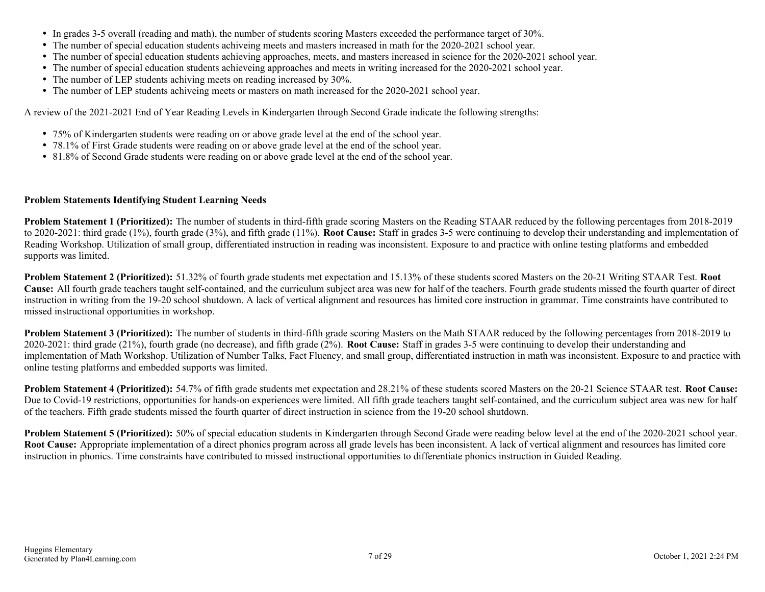- In grades 3-5 overall (reading and math), the number of students scoring Masters exceeded the performance target of 30%.
- The number of special education students achiveing meets and masters increased in math for the 2020-2021 school year.
- The number of special education students achieving approaches, meets, and masters increased in science for the 2020-2021 school year.
- The number of special education students achieveing approaches and meets in writing increased for the 2020-2021 school year.
- The number of LEP students achiving meets on reading increased by 30%.
- The number of LEP students achiveing meets or masters on math increased for the 2020-2021 school year.

A review of the 2021-2021 End of Year Reading Levels in Kindergarten through Second Grade indicate the following strengths:

- 75% of Kindergarten students were reading on or above grade level at the end of the school year.
- 78.1% of First Grade students were reading on or above grade level at the end of the school year.
- 81.8% of Second Grade students were reading on or above grade level at the end of the school year.

#### **Problem Statements Identifying Student Learning Needs**

**Problem Statement 1 (Prioritized):** The number of students in third-fifth grade scoring Masters on the Reading STAAR reduced by the following percentages from 2018-2019 to 2020-2021: third grade (1%), fourth grade (3%), and fifth grade (11%). **Root Cause:** Staff in grades 3-5 were continuing to develop their understanding and implementation of Reading Workshop. Utilization of small group, differentiated instruction in reading was inconsistent. Exposure to and practice with online testing platforms and embedded supports was limited.

**Problem Statement 2 (Prioritized):** 51.32% of fourth grade students met expectation and 15.13% of these students scored Masters on the 20-21 Writing STAAR Test. **Root Cause:** All fourth grade teachers taught self-contained, and the curriculum subject area was new for half of the teachers. Fourth grade students missed the fourth quarter of direct instruction in writing from the 19-20 school shutdown. A lack of vertical alignment and resources has limited core instruction in grammar. Time constraints have contributed to missed instructional opportunities in workshop.

**Problem Statement 3 (Prioritized):** The number of students in third-fifth grade scoring Masters on the Math STAAR reduced by the following percentages from 2018-2019 to 2020-2021: third grade (21%), fourth grade (no decrease), and fifth grade (2%). **Root Cause:** Staff in grades 3-5 were continuing to develop their understanding and implementation of Math Workshop. Utilization of Number Talks, Fact Fluency, and small group, differentiated instruction in math was inconsistent. Exposure to and practice with online testing platforms and embedded supports was limited.

**Problem Statement 4 (Prioritized):** 54.7% of fifth grade students met expectation and 28.21% of these students scored Masters on the 20-21 Science STAAR test. **Root Cause:** Due to Covid-19 restrictions, opportunities for hands-on experiences were limited. All fifth grade teachers taught self-contained, and the curriculum subject area was new for half of the teachers. Fifth grade students missed the fourth quarter of direct instruction in science from the 19-20 school shutdown.

**Problem Statement 5 (Prioritized):** 50% of special education students in Kindergarten through Second Grade were reading below level at the end of the 2020-2021 school year. **Root Cause:** Appropriate implementation of a direct phonics program across all grade levels has been inconsistent. A lack of vertical alignment and resources has limited core instruction in phonics. Time constraints have contributed to missed instructional opportunities to differentiate phonics instruction in Guided Reading.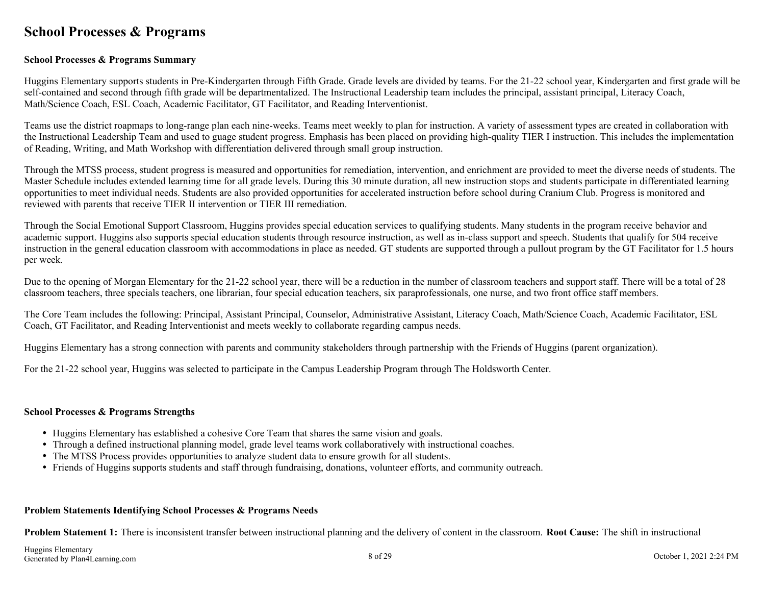### <span id="page-7-0"></span>**School Processes & Programs**

#### **School Processes & Programs Summary**

Huggins Elementary supports students in Pre-Kindergarten through Fifth Grade. Grade levels are divided by teams. For the 21-22 school year, Kindergarten and first grade will be self-contained and second through fifth grade will be departmentalized. The Instructional Leadership team includes the principal, assistant principal, Literacy Coach, Math/Science Coach, ESL Coach, Academic Facilitator, GT Facilitator, and Reading Interventionist.

Teams use the district roapmaps to long-range plan each nine-weeks. Teams meet weekly to plan for instruction. A variety of assessment types are created in collaboration with the Instructional Leadership Team and used to guage student progress. Emphasis has been placed on providing high-quality TIER I instruction. This includes the implementation of Reading, Writing, and Math Workshop with differentiation delivered through small group instruction.

Through the MTSS process, student progress is measured and opportunities for remediation, intervention, and enrichment are provided to meet the diverse needs of students. The Master Schedule includes extended learning time for all grade levels. During this 30 minute duration, all new instruction stops and students participate in differentiated learning opportunities to meet individual needs. Students are also provided opportunities for accelerated instruction before school during Cranium Club. Progress is monitored and reviewed with parents that receive TIER II intervention or TIER III remediation.

Through the Social Emotional Support Classroom, Huggins provides special education services to qualifying students. Many students in the program receive behavior and academic support. Huggins also supports special education students through resource instruction, as well as in-class support and speech. Students that qualify for 504 receive instruction in the general education classroom with accommodations in place as needed. GT students are supported through a pullout program by the GT Facilitator for 1.5 hours per week.

Due to the opening of Morgan Elementary for the 21-22 school year, there will be a reduction in the number of classroom teachers and support staff. There will be a total of 28 classroom teachers, three specials teachers, one librarian, four special education teachers, six paraprofessionals, one nurse, and two front office staff members.

The Core Team includes the following: Principal, Assistant Principal, Counselor, Administrative Assistant, Literacy Coach, Math/Science Coach, Academic Facilitator, ESL Coach, GT Facilitator, and Reading Interventionist and meets weekly to collaborate regarding campus needs.

Huggins Elementary has a strong connection with parents and community stakeholders through partnership with the Friends of Huggins (parent organization).

For the 21-22 school year, Huggins was selected to participate in the Campus Leadership Program through The Holdsworth Center.

#### **School Processes & Programs Strengths**

- Huggins Elementary has established a cohesive Core Team that shares the same vision and goals.
- Through a defined instructional planning model, grade level teams work collaboratively with instructional coaches.
- The MTSS Process provides opportunities to analyze student data to ensure growth for all students.
- Friends of Huggins supports students and staff through fundraising, donations, volunteer efforts, and community outreach.

#### **Problem Statements Identifying School Processes & Programs Needs**

**Problem Statement 1:** There is inconsistent transfer between instructional planning and the delivery of content in the classroom. **Root Cause:** The shift in instructional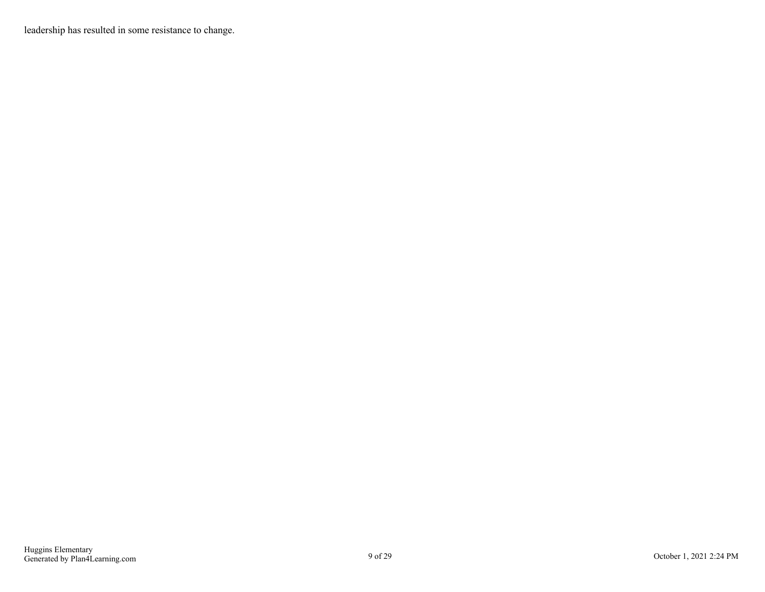leadership has resulted in some resistance to change.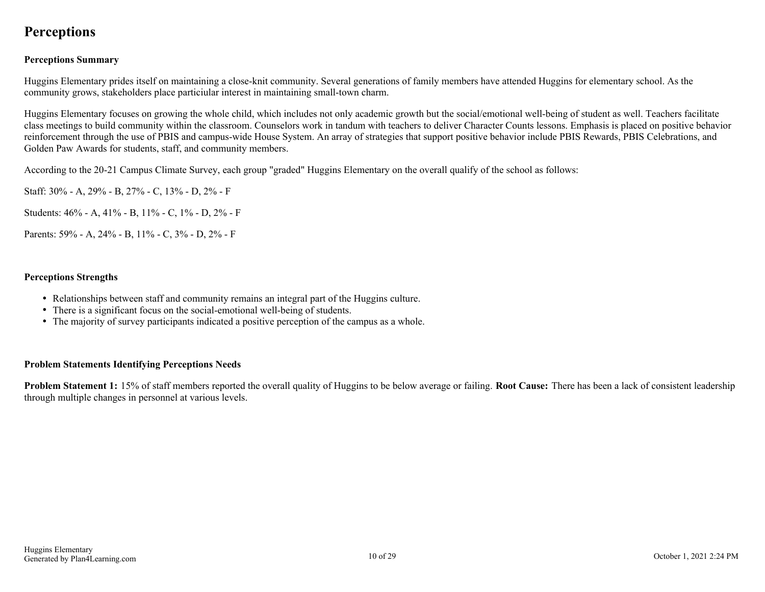### <span id="page-9-0"></span>**Perceptions**

#### **Perceptions Summary**

Huggins Elementary prides itself on maintaining a close-knit community. Several generations of family members have attended Huggins for elementary school. As the community grows, stakeholders place particiular interest in maintaining small-town charm.

Huggins Elementary focuses on growing the whole child, which includes not only academic growth but the social/emotional well-being of student as well. Teachers facilitate class meetings to build community within the classroom. Counselors work in tandum with teachers to deliver Character Counts lessons. Emphasis is placed on positive behavior reinforcement through the use of PBIS and campus-wide House System. An array of strategies that support positive behavior include PBIS Rewards, PBIS Celebrations, and Golden Paw Awards for students, staff, and community members.

According to the 20-21 Campus Climate Survey, each group "graded" Huggins Elementary on the overall qualify of the school as follows:

Staff: 30% - A, 29% - B, 27% - C, 13% - D, 2% - F

Students: 46% - A, 41% - B, 11% - C, 1% - D, 2% - F

Parents: 59% - A, 24% - B, 11% - C, 3% - D, 2% - F

#### **Perceptions Strengths**

- Relationships between staff and community remains an integral part of the Huggins culture.
- There is a significant focus on the social-emotional well-being of students.
- The majority of survey participants indicated a positive perception of the campus as a whole.

#### **Problem Statements Identifying Perceptions Needs**

**Problem Statement 1:** 15% of staff members reported the overall quality of Huggins to be below average or failing. **Root Cause:** There has been a lack of consistent leadership through multiple changes in personnel at various levels.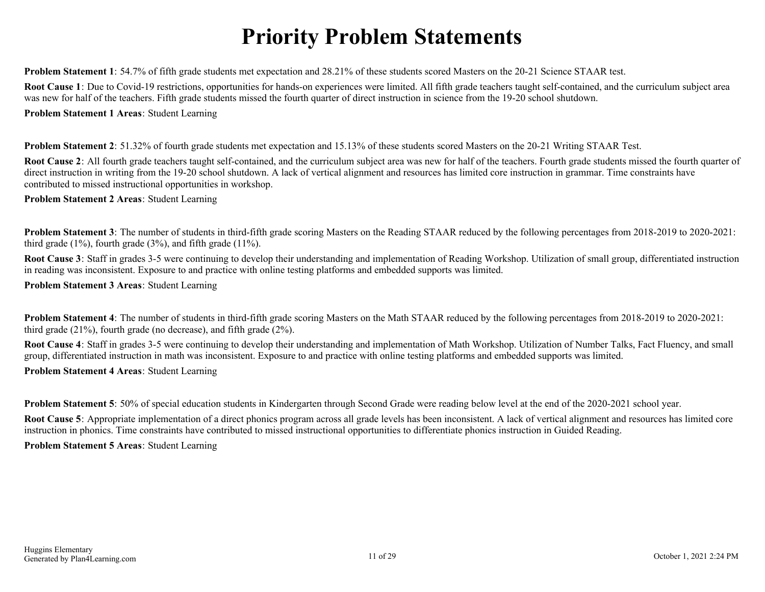## **Priority Problem Statements**

<span id="page-10-0"></span>**Problem Statement 1**: 54.7% of fifth grade students met expectation and 28.21% of these students scored Masters on the 20-21 Science STAAR test.

**Root Cause 1**: Due to Covid-19 restrictions, opportunities for hands-on experiences were limited. All fifth grade teachers taught self-contained, and the curriculum subject area was new for half of the teachers. Fifth grade students missed the fourth quarter of direct instruction in science from the 19-20 school shutdown.

**Problem Statement 1 Areas**: Student Learning

**Problem Statement 2**: 51.32% of fourth grade students met expectation and 15.13% of these students scored Masters on the 20-21 Writing STAAR Test.

**Root Cause 2**: All fourth grade teachers taught self-contained, and the curriculum subject area was new for half of the teachers. Fourth grade students missed the fourth quarter of direct instruction in writing from the 19-20 school shutdown. A lack of vertical alignment and resources has limited core instruction in grammar. Time constraints have contributed to missed instructional opportunities in workshop.

**Problem Statement 2 Areas**: Student Learning

**Problem Statement 3**: The number of students in third-fifth grade scoring Masters on the Reading STAAR reduced by the following percentages from 2018-2019 to 2020-2021: third grade (1%), fourth grade (3%), and fifth grade (11%).

**Root Cause 3**: Staff in grades 3-5 were continuing to develop their understanding and implementation of Reading Workshop. Utilization of small group, differentiated instruction in reading was inconsistent. Exposure to and practice with online testing platforms and embedded supports was limited.

**Problem Statement 3 Areas**: Student Learning

**Problem Statement 4**: The number of students in third-fifth grade scoring Masters on the Math STAAR reduced by the following percentages from 2018-2019 to 2020-2021: third grade (21%), fourth grade (no decrease), and fifth grade (2%).

**Root Cause 4**: Staff in grades 3-5 were continuing to develop their understanding and implementation of Math Workshop. Utilization of Number Talks, Fact Fluency, and small group, differentiated instruction in math was inconsistent. Exposure to and practice with online testing platforms and embedded supports was limited. **Problem Statement 4 Areas**: Student Learning

**Problem Statement 5**: 50% of special education students in Kindergarten through Second Grade were reading below level at the end of the 2020-2021 school year.

**Root Cause 5**: Appropriate implementation of a direct phonics program across all grade levels has been inconsistent. A lack of vertical alignment and resources has limited core instruction in phonics. Time constraints have contributed to missed instructional opportunities to differentiate phonics instruction in Guided Reading.

**Problem Statement 5 Areas**: Student Learning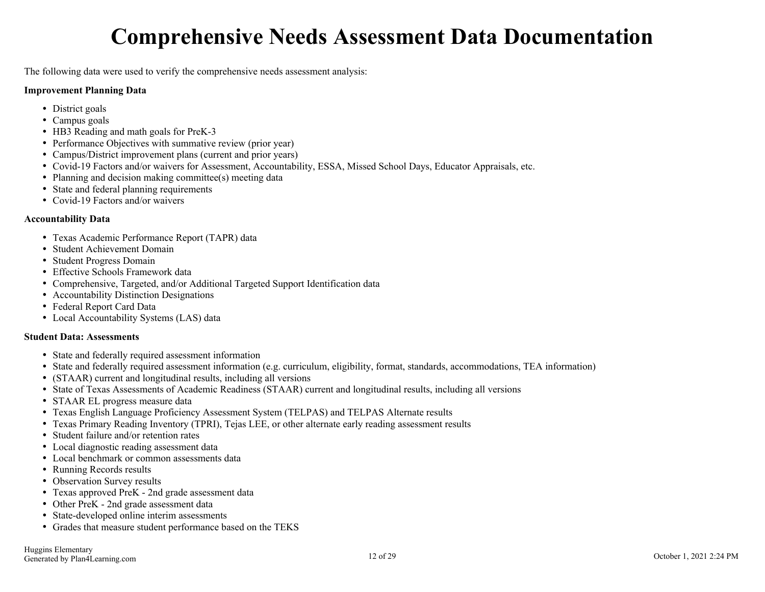## **Comprehensive Needs Assessment Data Documentation**

<span id="page-11-0"></span>The following data were used to verify the comprehensive needs assessment analysis:

#### **Improvement Planning Data**

- District goals
- Campus goals
- HB3 Reading and math goals for PreK-3
- Performance Objectives with summative review (prior year)
- Campus/District improvement plans (current and prior years)
- Covid-19 Factors and/or waivers for Assessment, Accountability, ESSA, Missed School Days, Educator Appraisals, etc.
- Planning and decision making committee(s) meeting data
- State and federal planning requirements
- Covid-19 Factors and/or waivers

#### **Accountability Data**

- Texas Academic Performance Report (TAPR) data
- Student Achievement Domain
- Student Progress Domain
- Effective Schools Framework data
- Comprehensive, Targeted, and/or Additional Targeted Support Identification data
- Accountability Distinction Designations
- Federal Report Card Data
- Local Accountability Systems (LAS) data

#### **Student Data: Assessments**

- State and federally required assessment information
- State and federally required assessment information (e.g. curriculum, eligibility, format, standards, accommodations, TEA information)
- (STAAR) current and longitudinal results, including all versions
- State of Texas Assessments of Academic Readiness (STAAR) current and longitudinal results, including all versions
- STAAR EL progress measure data
- Texas English Language Proficiency Assessment System (TELPAS) and TELPAS Alternate results
- Texas Primary Reading Inventory (TPRI), Tejas LEE, or other alternate early reading assessment results
- Student failure and/or retention rates
- Local diagnostic reading assessment data
- Local benchmark or common assessments data
- Running Records results
- Observation Survey results
- Texas approved PreK 2nd grade assessment data
- Other PreK 2nd grade assessment data
- State-developed online interim assessments
- Grades that measure student performance based on the TEKS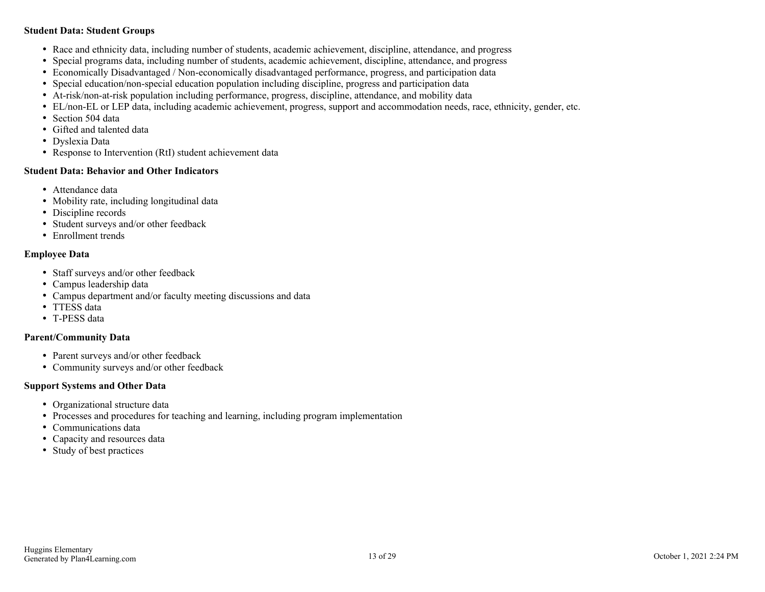#### **Student Data: Student Groups**

- Race and ethnicity data, including number of students, academic achievement, discipline, attendance, and progress
- Special programs data, including number of students, academic achievement, discipline, attendance, and progress
- Economically Disadvantaged / Non-economically disadvantaged performance, progress, and participation data
- Special education/non-special education population including discipline, progress and participation data
- At-risk/non-at-risk population including performance, progress, discipline, attendance, and mobility data
- EL/non-EL or LEP data, including academic achievement, progress, support and accommodation needs, race, ethnicity, gender, etc.
- Section 504 data
- Gifted and talented data
- Dyslexia Data
- Response to Intervention (RtI) student achievement data

#### **Student Data: Behavior and Other Indicators**

- Attendance data
- Mobility rate, including longitudinal data
- Discipline records
- Student surveys and/or other feedback
- Enrollment trends

#### **Employee Data**

- Staff surveys and/or other feedback
- Campus leadership data
- Campus department and/or faculty meeting discussions and data
- TTESS data
- T-PESS data

#### **Parent/Community Data**

- Parent surveys and/or other feedback
- Community surveys and/or other feedback

#### **Support Systems and Other Data**

- Organizational structure data
- Processes and procedures for teaching and learning, including program implementation
- Communications data
- Capacity and resources data
- Study of best practices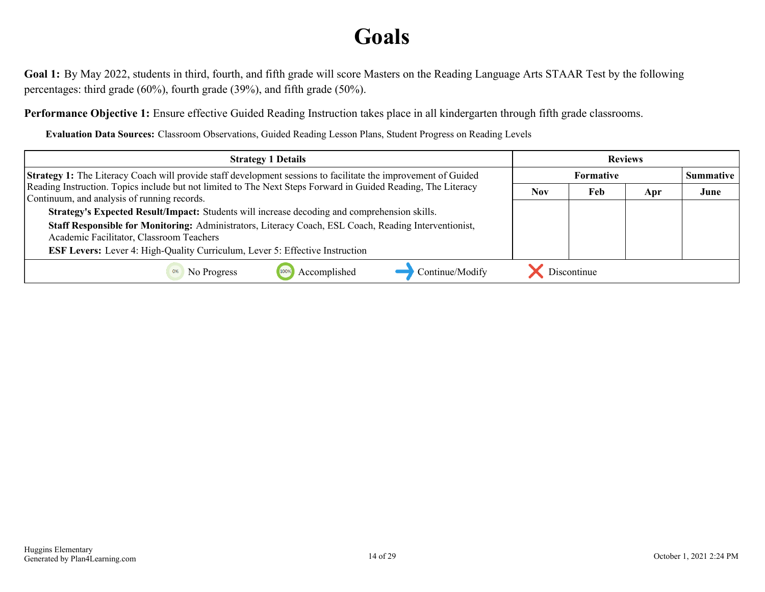## **Goals**

<span id="page-13-0"></span>**Goal 1:** By May 2022, students in third, fourth, and fifth grade will score Masters on the Reading Language Arts STAAR Test by the following percentages: third grade (60%), fourth grade (39%), and fifth grade (50%).

**Performance Objective 1:** Ensure effective Guided Reading Instruction takes place in all kindergarten through fifth grade classrooms.

**Evaluation Data Sources:** Classroom Observations, Guided Reading Lesson Plans, Student Progress on Reading Levels

| <b>Strategy 1 Details</b>                                                                                                                                    | <b>Reviews</b> |                  |     |      |  |
|--------------------------------------------------------------------------------------------------------------------------------------------------------------|----------------|------------------|-----|------|--|
| <b>Strategy 1:</b> The Literacy Coach will provide staff development sessions to facilitate the improvement of Guided                                        |                | <b>Summative</b> |     |      |  |
| Reading Instruction. Topics include but not limited to The Next Steps Forward in Guided Reading, The Literacy<br>Continuum, and analysis of running records. | <b>Nov</b>     | Feb              | Apr | June |  |
| Strategy's Expected Result/Impact: Students will increase decoding and comprehension skills.                                                                 |                |                  |     |      |  |
| Staff Responsible for Monitoring: Administrators, Literacy Coach, ESL Coach, Reading Interventionist,<br>Academic Facilitator, Classroom Teachers            |                |                  |     |      |  |
| <b>ESF Levers:</b> Lever 4: High-Quality Curriculum, Lever 5: Effective Instruction                                                                          |                |                  |     |      |  |
| Continue/Modify<br>Accomplished<br>No Progress<br>0%                                                                                                         |                | Discontinue      |     |      |  |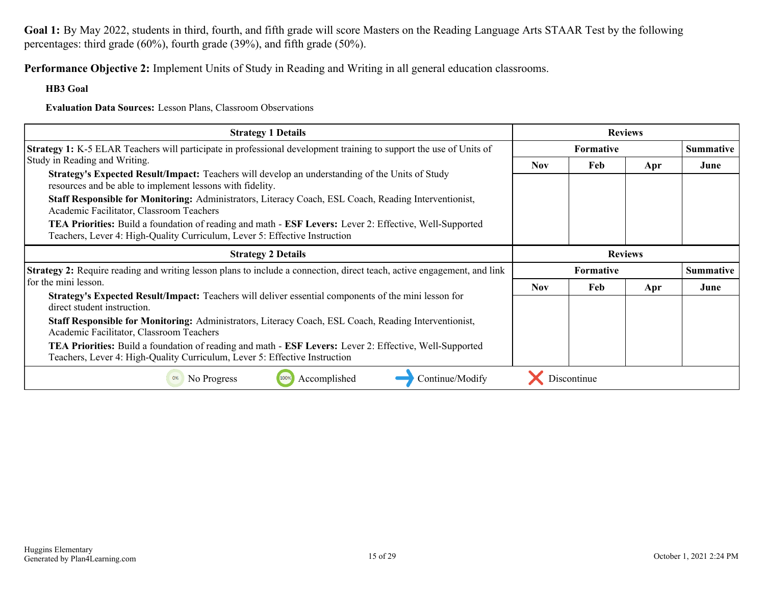**Goal 1:** By May 2022, students in third, fourth, and fifth grade will score Masters on the Reading Language Arts STAAR Test by the following percentages: third grade (60%), fourth grade (39%), and fifth grade (50%).

**Performance Objective 2:** Implement Units of Study in Reading and Writing in all general education classrooms.

#### **HB3 Goal**

**Evaluation Data Sources:** Lesson Plans, Classroom Observations

| <b>Strategy 1 Details</b>                                                                                                                                                                           | <b>Reviews</b>                       |                  |     |                  |  |
|-----------------------------------------------------------------------------------------------------------------------------------------------------------------------------------------------------|--------------------------------------|------------------|-----|------------------|--|
| <b>Strategy 1:</b> K-5 ELAR Teachers will participate in professional development training to support the use of Units of                                                                           |                                      | <b>Formative</b> |     | <b>Summative</b> |  |
| Study in Reading and Writing.                                                                                                                                                                       | <b>Nov</b>                           | Feb              | Apr | June             |  |
| <b>Strategy's Expected Result/Impact:</b> Teachers will develop an understanding of the Units of Study<br>resources and be able to implement lessons with fidelity.                                 |                                      |                  |     |                  |  |
| Staff Responsible for Monitoring: Administrators, Literacy Coach, ESL Coach, Reading Interventionist,<br>Academic Facilitator, Classroom Teachers                                                   |                                      |                  |     |                  |  |
| <b>TEA Priorities:</b> Build a foundation of reading and math - <b>ESF Levers:</b> Lever 2: Effective, Well-Supported<br>Teachers, Lever 4: High-Quality Curriculum, Lever 5: Effective Instruction |                                      |                  |     |                  |  |
| <b>Strategy 2 Details</b>                                                                                                                                                                           | <b>Reviews</b>                       |                  |     |                  |  |
| <b>Strategy 2:</b> Require reading and writing lesson plans to include a connection, direct teach, active engagement, and link                                                                      | <b>Summative</b><br><b>Formative</b> |                  |     |                  |  |
| for the mini lesson.                                                                                                                                                                                | <b>Nov</b>                           | Feb              | Apr | June             |  |
| Strategy's Expected Result/Impact: Teachers will deliver essential components of the mini lesson for<br>direct student instruction.                                                                 |                                      |                  |     |                  |  |
| Staff Responsible for Monitoring: Administrators, Literacy Coach, ESL Coach, Reading Interventionist,<br>Academic Facilitator, Classroom Teachers                                                   |                                      |                  |     |                  |  |
| TEA Priorities: Build a foundation of reading and math - ESF Levers: Lever 2: Effective, Well-Supported<br>Teachers, Lever 4: High-Quality Curriculum, Lever 5: Effective Instruction               |                                      |                  |     |                  |  |
| No Progress<br>Accomplished<br>Continue/Modify                                                                                                                                                      |                                      | Discontinue      |     |                  |  |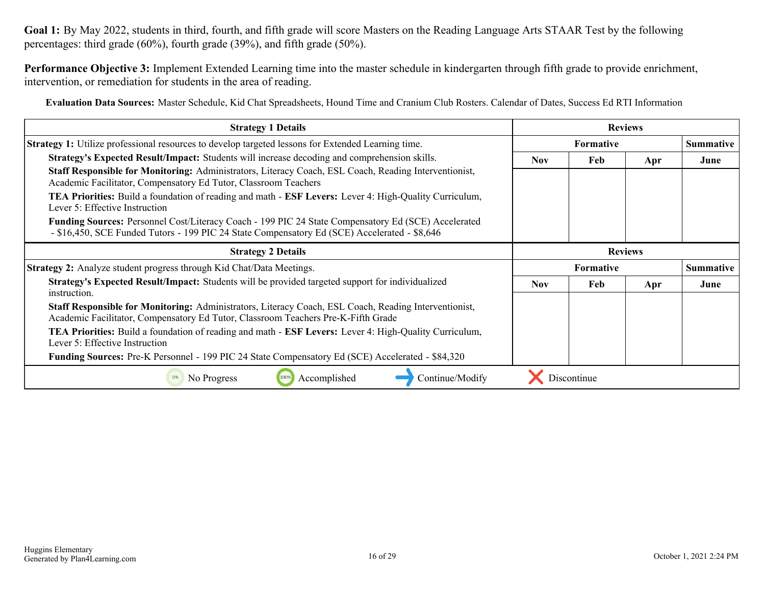**Goal 1:** By May 2022, students in third, fourth, and fifth grade will score Masters on the Reading Language Arts STAAR Test by the following percentages: third grade (60%), fourth grade (39%), and fifth grade (50%).

**Performance Objective 3:** Implement Extended Learning time into the master schedule in kindergarten through fifth grade to provide enrichment, intervention, or remediation for students in the area of reading.

**Evaluation Data Sources:** Master Schedule, Kid Chat Spreadsheets, Hound Time and Cranium Club Rosters. Calendar of Dates, Success Ed RTI Information

| <b>Strategy 1 Details</b>                                                                                                                                                                                  | <b>Reviews</b>                       |             |     |      |  |
|------------------------------------------------------------------------------------------------------------------------------------------------------------------------------------------------------------|--------------------------------------|-------------|-----|------|--|
| <b>Strategy 1:</b> Utilize professional resources to develop targeted lessons for Extended Learning time.                                                                                                  | <b>Summative</b><br><b>Formative</b> |             |     |      |  |
| Strategy's Expected Result/Impact: Students will increase decoding and comprehension skills.                                                                                                               | <b>Nov</b>                           | Feb         | Apr | June |  |
| Staff Responsible for Monitoring: Administrators, Literacy Coach, ESL Coach, Reading Interventionist,<br>Academic Facilitator, Compensatory Ed Tutor, Classroom Teachers                                   |                                      |             |     |      |  |
| <b>TEA Priorities:</b> Build a foundation of reading and math - <b>ESF Levers:</b> Lever 4: High-Quality Curriculum,<br>Lever 5: Effective Instruction                                                     |                                      |             |     |      |  |
| <b>Funding Sources:</b> Personnel Cost/Literacy Coach - 199 PIC 24 State Compensatory Ed (SCE) Accelerated<br>- \$16,450, SCE Funded Tutors - 199 PIC 24 State Compensatory Ed (SCE) Accelerated - \$8,646 |                                      |             |     |      |  |
| <b>Strategy 2 Details</b>                                                                                                                                                                                  | <b>Reviews</b>                       |             |     |      |  |
| <b>Strategy 2:</b> Analyze student progress through Kid Chat/Data Meetings.                                                                                                                                | <b>Summative</b><br><b>Formative</b> |             |     |      |  |
| <b>Strategy's Expected Result/Impact:</b> Students will be provided targeted support for individualized<br>instruction.                                                                                    | <b>Nov</b>                           | Feb         | Apr | June |  |
| Staff Responsible for Monitoring: Administrators, Literacy Coach, ESL Coach, Reading Interventionist,<br>Academic Facilitator, Compensatory Ed Tutor, Classroom Teachers Pre-K-Fifth Grade                 |                                      |             |     |      |  |
| <b>TEA Priorities:</b> Build a foundation of reading and math - <b>ESF Levers:</b> Lever 4: High-Quality Curriculum,<br>Lever 5: Effective Instruction                                                     |                                      |             |     |      |  |
| Funding Sources: Pre-K Personnel - 199 PIC 24 State Compensatory Ed (SCE) Accelerated - \$84,320                                                                                                           |                                      |             |     |      |  |
| Accomplished<br>100%<br>Continue/Modify<br>No Progress                                                                                                                                                     |                                      | Discontinue |     |      |  |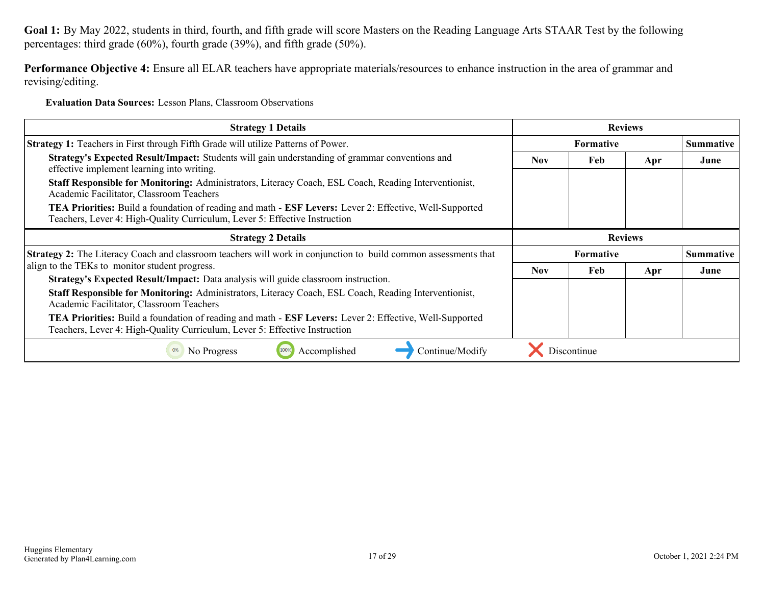**Goal 1:** By May 2022, students in third, fourth, and fifth grade will score Masters on the Reading Language Arts STAAR Test by the following percentages: third grade (60%), fourth grade (39%), and fifth grade (50%).

**Performance Objective 4:** Ensure all ELAR teachers have appropriate materials/resources to enhance instruction in the area of grammar and revising/editing.

**Evaluation Data Sources:** Lesson Plans, Classroom Observations

| <b>Strategy 1 Details</b>                                                                                                                                                             | <b>Reviews</b>                       |                  |     |      |  |
|---------------------------------------------------------------------------------------------------------------------------------------------------------------------------------------|--------------------------------------|------------------|-----|------|--|
| Strategy 1: Teachers in First through Fifth Grade will utilize Patterns of Power.                                                                                                     |                                      | <b>Summative</b> |     |      |  |
| Strategy's Expected Result/Impact: Students will gain understanding of grammar conventions and<br>effective implement learning into writing.                                          | <b>Nov</b>                           | Feb<br>Apr       |     |      |  |
| Staff Responsible for Monitoring: Administrators, Literacy Coach, ESL Coach, Reading Interventionist,<br>Academic Facilitator, Classroom Teachers                                     |                                      |                  |     |      |  |
| TEA Priorities: Build a foundation of reading and math - ESF Levers: Lever 2: Effective, Well-Supported<br>Teachers, Lever 4: High-Quality Curriculum, Lever 5: Effective Instruction |                                      |                  |     |      |  |
| <b>Strategy 2 Details</b>                                                                                                                                                             | <b>Reviews</b>                       |                  |     |      |  |
| <b>Strategy 2:</b> The Literacy Coach and classroom teachers will work in conjunction to build common assessments that                                                                | <b>Summative</b><br><b>Formative</b> |                  |     |      |  |
| align to the TEKs to monitor student progress.                                                                                                                                        | <b>Nov</b>                           | Feb              | Apr | June |  |
| Strategy's Expected Result/Impact: Data analysis will guide classroom instruction.                                                                                                    |                                      |                  |     |      |  |
| Staff Responsible for Monitoring: Administrators, Literacy Coach, ESL Coach, Reading Interventionist,<br>Academic Facilitator, Classroom Teachers                                     |                                      |                  |     |      |  |
| TEA Priorities: Build a foundation of reading and math - ESF Levers: Lever 2: Effective, Well-Supported<br>Teachers, Lever 4: High-Quality Curriculum, Lever 5: Effective Instruction |                                      |                  |     |      |  |
| Accomplished<br>Continue/Modify<br>No Progress<br>0%                                                                                                                                  |                                      | Discontinue      |     |      |  |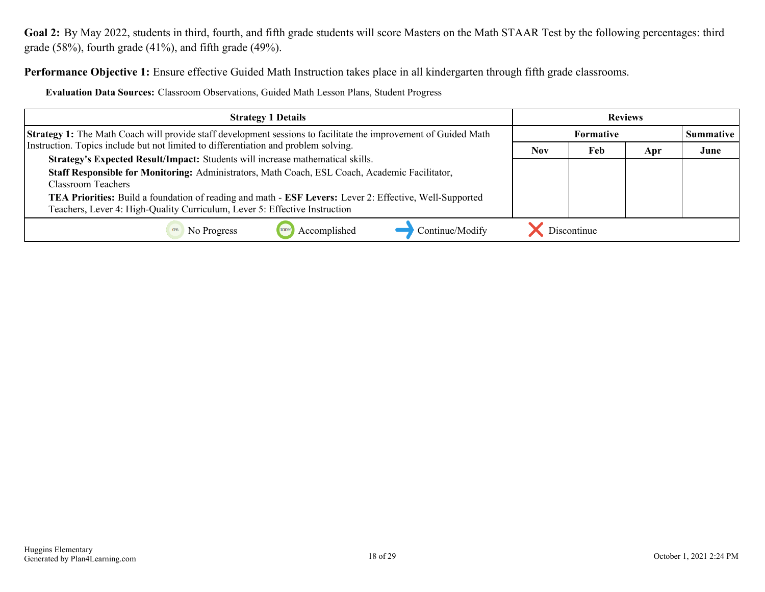<span id="page-17-0"></span>**Performance Objective 1:** Ensure effective Guided Math Instruction takes place in all kindergarten through fifth grade classrooms.

**Evaluation Data Sources:** Classroom Observations, Guided Math Lesson Plans, Student Progress

| <b>Strategy 1 Details</b>                                                                                                                                                             | <b>Reviews</b> |                  |     |      |  |
|---------------------------------------------------------------------------------------------------------------------------------------------------------------------------------------|----------------|------------------|-----|------|--|
| <b>Strategy 1:</b> The Math Coach will provide staff development sessions to facilitate the improvement of Guided Math                                                                |                | <b>Summative</b> |     |      |  |
| Instruction. Topics include but not limited to differentiation and problem solving.                                                                                                   | <b>Nov</b>     | Feb              | Apr | June |  |
| Strategy's Expected Result/Impact: Students will increase mathematical skills.                                                                                                        |                |                  |     |      |  |
| Staff Responsible for Monitoring: Administrators, Math Coach, ESL Coach, Academic Facilitator,<br>Classroom Teachers                                                                  |                |                  |     |      |  |
| TEA Priorities: Build a foundation of reading and math - ESF Levers: Lever 2: Effective, Well-Supported<br>Teachers, Lever 4: High-Quality Curriculum, Lever 5: Effective Instruction |                |                  |     |      |  |
| Accomplished<br>Continue/Modify<br>No Progress                                                                                                                                        |                | Discontinue      |     |      |  |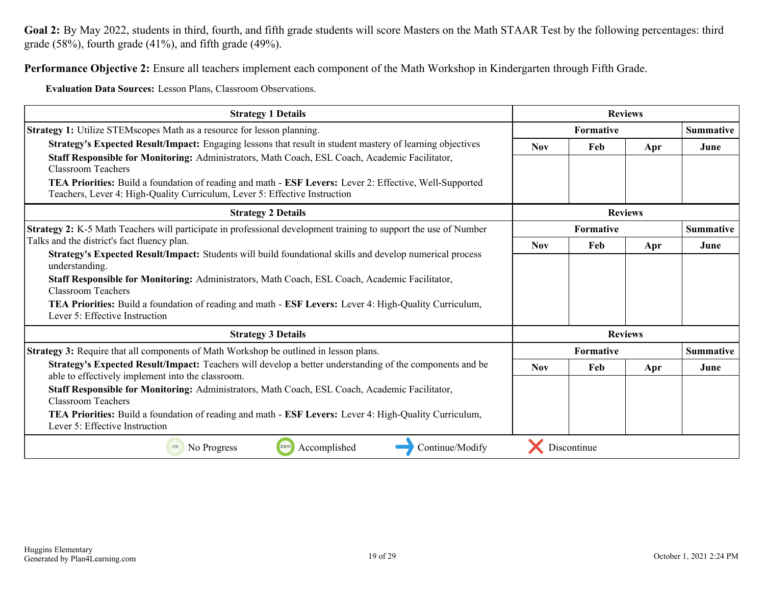**Performance Objective 2:** Ensure all teachers implement each component of the Math Workshop in Kindergarten through Fifth Grade.

**Evaluation Data Sources:** Lesson Plans, Classroom Observations.

| <b>Strategy 1 Details</b>                                                                                                                                                             | <b>Reviews</b>   |             |                |                  |
|---------------------------------------------------------------------------------------------------------------------------------------------------------------------------------------|------------------|-------------|----------------|------------------|
| <b>Strategy 1:</b> Utilize STEMscopes Math as a resource for lesson planning.                                                                                                         | <b>Formative</b> |             |                | <b>Summative</b> |
| Strategy's Expected Result/Impact: Engaging lessons that result in student mastery of learning objectives                                                                             | <b>Nov</b>       | Feb         | Apr            | June             |
| Staff Responsible for Monitoring: Administrators, Math Coach, ESL Coach, Academic Facilitator,<br><b>Classroom Teachers</b>                                                           |                  |             |                |                  |
| TEA Priorities: Build a foundation of reading and math - ESF Levers: Lever 2: Effective, Well-Supported<br>Teachers, Lever 4: High-Quality Curriculum, Lever 5: Effective Instruction |                  |             |                |                  |
| <b>Strategy 2 Details</b>                                                                                                                                                             | <b>Reviews</b>   |             |                |                  |
| Strategy 2: K-5 Math Teachers will participate in professional development training to support the use of Number                                                                      | Formative        |             |                | <b>Summative</b> |
| Talks and the district's fact fluency plan.                                                                                                                                           |                  | Feb         | Apr            | June             |
| Strategy's Expected Result/Impact: Students will build foundational skills and develop numerical process<br>understanding.                                                            |                  |             |                |                  |
| Staff Responsible for Monitoring: Administrators, Math Coach, ESL Coach, Academic Facilitator,<br><b>Classroom Teachers</b>                                                           |                  |             |                |                  |
| TEA Priorities: Build a foundation of reading and math - ESF Levers: Lever 4: High-Quality Curriculum,<br>Lever 5: Effective Instruction                                              |                  |             |                |                  |
| <b>Strategy 3 Details</b>                                                                                                                                                             |                  |             | <b>Reviews</b> |                  |
| <b>Strategy 3:</b> Require that all components of Math Workshop be outlined in lesson plans.                                                                                          |                  | Formative   |                | <b>Summative</b> |
| Strategy's Expected Result/Impact: Teachers will develop a better understanding of the components and be<br>able to effectively implement into the classroom.                         | <b>Nov</b>       | Feb         | Apr            | June             |
| Staff Responsible for Monitoring: Administrators, Math Coach, ESL Coach, Academic Facilitator,<br><b>Classroom Teachers</b>                                                           |                  |             |                |                  |
| TEA Priorities: Build a foundation of reading and math - ESF Levers: Lever 4: High-Quality Curriculum,<br>Lever 5: Effective Instruction                                              |                  |             |                |                  |
| 100%<br>Accomplished<br>Continue/Modify<br>No Progress<br>0%                                                                                                                          |                  | Discontinue |                |                  |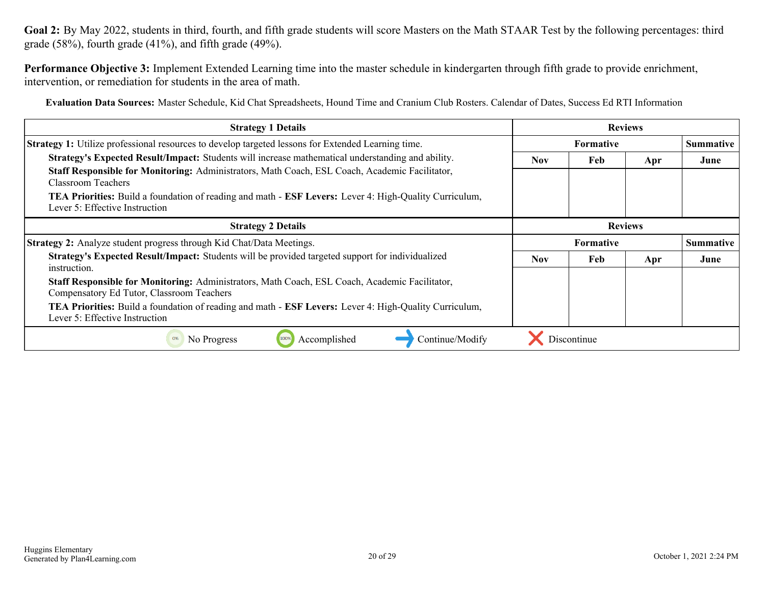**Performance Objective 3:** Implement Extended Learning time into the master schedule in kindergarten through fifth grade to provide enrichment, intervention, or remediation for students in the area of math.

**Evaluation Data Sources:** Master Schedule, Kid Chat Spreadsheets, Hound Time and Cranium Club Rosters. Calendar of Dates, Success Ed RTI Information

| <b>Strategy 1 Details</b>                                                                                                                              | <b>Reviews</b> |                  |                |                  |
|--------------------------------------------------------------------------------------------------------------------------------------------------------|----------------|------------------|----------------|------------------|
| Strategy 1: Utilize professional resources to develop targeted lessons for Extended Learning time.                                                     | Formative      |                  |                | <b>Summative</b> |
| Strategy's Expected Result/Impact: Students will increase mathematical understanding and ability.                                                      | Nov.           | Feb              | Apr            | June             |
| Staff Responsible for Monitoring: Administrators, Math Coach, ESL Coach, Academic Facilitator,<br><b>Classroom Teachers</b>                            |                |                  |                |                  |
| <b>TEA Priorities:</b> Build a foundation of reading and math - <b>ESF Levers:</b> Lever 4: High-Quality Curriculum,<br>Lever 5: Effective Instruction |                |                  |                |                  |
| <b>Strategy 2 Details</b>                                                                                                                              |                |                  | <b>Reviews</b> |                  |
| <b>Strategy 2:</b> Analyze student progress through Kid Chat/Data Meetings.                                                                            |                | <b>Formative</b> |                | <b>Summative</b> |
| <b>Strategy's Expected Result/Impact:</b> Students will be provided targeted support for individualized<br>instruction.                                | <b>Nov</b>     | Feb              | Apr            | June             |
| Staff Responsible for Monitoring: Administrators, Math Coach, ESL Coach, Academic Facilitator,<br>Compensatory Ed Tutor, Classroom Teachers            |                |                  |                |                  |
| <b>TEA Priorities:</b> Build a foundation of reading and math - <b>ESF Levers:</b> Lever 4: High-Quality Curriculum,<br>Lever 5: Effective Instruction |                |                  |                |                  |
| Accomplished<br>Discontinue<br>Continue/Modify<br>No Progress                                                                                          |                |                  |                |                  |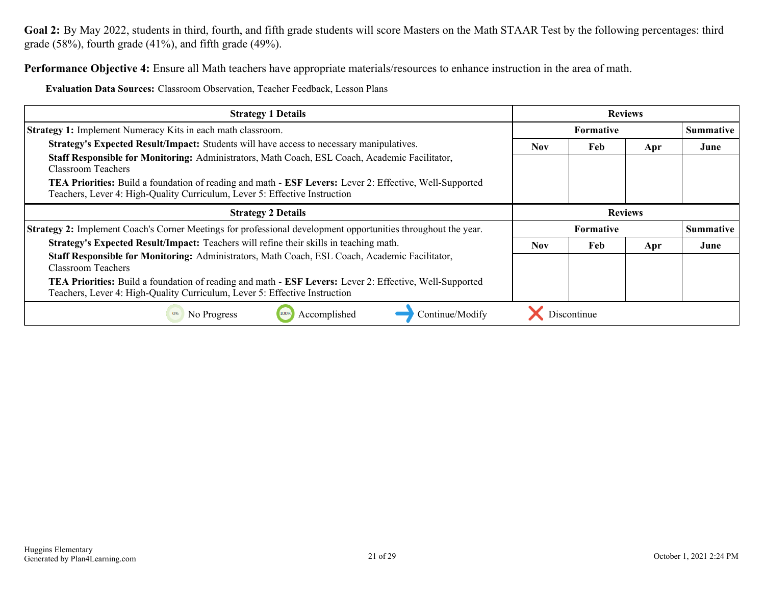**Performance Objective 4:** Ensure all Math teachers have appropriate materials/resources to enhance instruction in the area of math.

**Evaluation Data Sources:** Classroom Observation, Teacher Feedback, Lesson Plans

| <b>Strategy 1 Details</b>                                                                                                                                                                           | <b>Reviews</b> |                  |                |                  |
|-----------------------------------------------------------------------------------------------------------------------------------------------------------------------------------------------------|----------------|------------------|----------------|------------------|
| <b>Strategy 1:</b> Implement Numeracy Kits in each math classroom.                                                                                                                                  |                | <b>Formative</b> |                | <b>Summative</b> |
| <b>Strategy's Expected Result/Impact:</b> Students will have access to necessary manipulatives.                                                                                                     | <b>Nov</b>     | Feb              | Apr            | June             |
| Staff Responsible for Monitoring: Administrators, Math Coach, ESL Coach, Academic Facilitator,<br>Classroom Teachers                                                                                |                |                  |                |                  |
| TEA Priorities: Build a foundation of reading and math - ESF Levers: Lever 2: Effective, Well-Supported<br>Teachers, Lever 4: High-Quality Curriculum, Lever 5: Effective Instruction               |                |                  |                |                  |
| <b>Strategy 2 Details</b>                                                                                                                                                                           |                |                  | <b>Reviews</b> |                  |
| Strategy 2: Implement Coach's Corner Meetings for professional development opportunities throughout the year.                                                                                       |                | Formative        |                | <b>Summative</b> |
| <b>Strategy's Expected Result/Impact:</b> Teachers will refine their skills in teaching math.                                                                                                       | <b>Nov</b>     | Feb              | Apr            | June             |
| Staff Responsible for Monitoring: Administrators, Math Coach, ESL Coach, Academic Facilitator,<br><b>Classroom Teachers</b>                                                                         |                |                  |                |                  |
| <b>TEA Priorities:</b> Build a foundation of reading and math - <b>ESF Levers:</b> Lever 2: Effective, Well-Supported<br>Teachers, Lever 4: High-Quality Curriculum, Lever 5: Effective Instruction |                |                  |                |                  |
| 0%<br>Accomplished<br>Continue/Modify<br>No Progress                                                                                                                                                |                | Discontinue      |                |                  |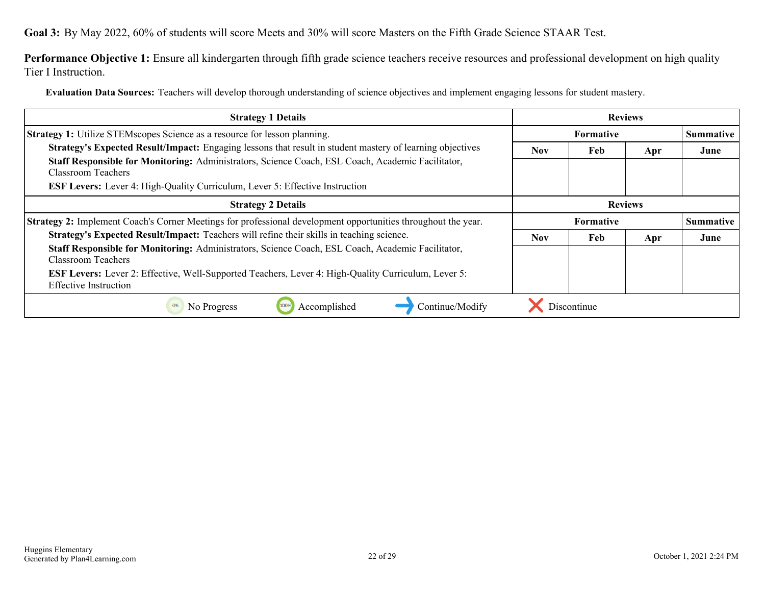<span id="page-21-0"></span>**Goal 3:** By May 2022, 60% of students will score Meets and 30% will score Masters on the Fifth Grade Science STAAR Test.

Performance Objective 1: Ensure all kindergarten through fifth grade science teachers receive resources and professional development on high quality Tier I Instruction.

**Evaluation Data Sources:** Teachers will develop thorough understanding of science objectives and implement engaging lessons for student mastery.

| <b>Strategy 1 Details</b>                                                                                                                  |                  | <b>Reviews</b> |     |                  |
|--------------------------------------------------------------------------------------------------------------------------------------------|------------------|----------------|-----|------------------|
| <b>Strategy 1:</b> Utilize STEMscopes Science as a resource for lesson planning.                                                           | <b>Formative</b> |                |     | <b>Summative</b> |
| Strategy's Expected Result/Impact: Engaging lessons that result in student mastery of learning objectives                                  | <b>Nov</b>       | Feb            | Apr | June             |
| Staff Responsible for Monitoring: Administrators, Science Coach, ESL Coach, Academic Facilitator,<br>Classroom Teachers                    |                  |                |     |                  |
| <b>ESF Levers:</b> Lever 4: High-Quality Curriculum, Lever 5: Effective Instruction                                                        |                  |                |     |                  |
| <b>Strategy 2 Details</b>                                                                                                                  | <b>Reviews</b>   |                |     |                  |
| Strategy 2: Implement Coach's Corner Meetings for professional development opportunities throughout the year.                              | <b>Formative</b> |                |     | <b>Summative</b> |
| Strategy's Expected Result/Impact: Teachers will refine their skills in teaching science.                                                  | Nov.             | Feb            | Apr | June             |
| Staff Responsible for Monitoring: Administrators, Science Coach, ESL Coach, Academic Facilitator,                                          |                  |                |     |                  |
| <b>Classroom Teachers</b>                                                                                                                  |                  |                |     |                  |
| <b>ESF Levers:</b> Lever 2: Effective, Well-Supported Teachers, Lever 4: High-Quality Curriculum, Lever 5:<br><b>Effective Instruction</b> |                  |                |     |                  |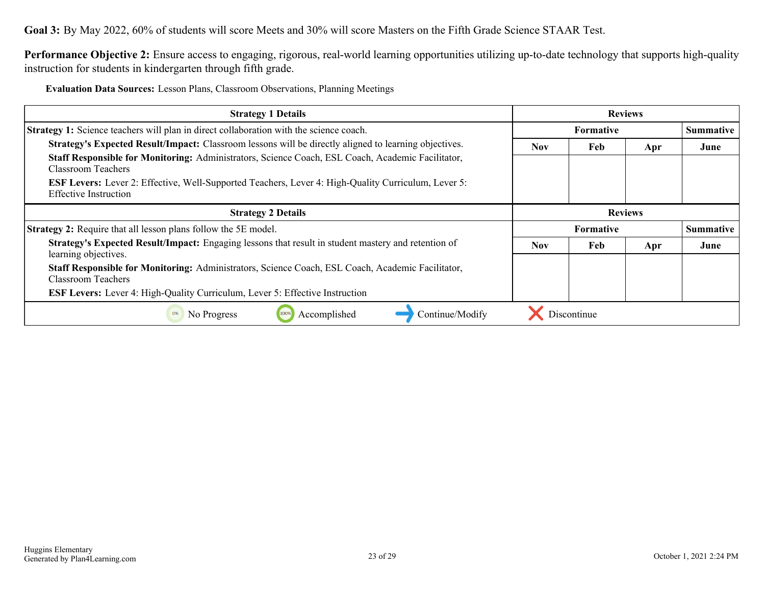**Goal 3:** By May 2022, 60% of students will score Meets and 30% will score Masters on the Fifth Grade Science STAAR Test.

**Performance Objective 2:** Ensure access to engaging, rigorous, real-world learning opportunities utilizing up-to-date technology that supports high-quality instruction for students in kindergarten through fifth grade.

**Evaluation Data Sources:** Lesson Plans, Classroom Observations, Planning Meetings

| <b>Strategy 1 Details</b>                                                                                                                  | <b>Reviews</b>                       |             |                |                  |
|--------------------------------------------------------------------------------------------------------------------------------------------|--------------------------------------|-------------|----------------|------------------|
| Strategy 1: Science teachers will plan in direct collaboration with the science coach.                                                     | <b>Formative</b><br><b>Summative</b> |             |                |                  |
| <b>Strategy's Expected Result/Impact:</b> Classroom lessons will be directly aligned to learning objectives.                               | <b>Nov</b>                           | Feb         | Apr            | June             |
| Staff Responsible for Monitoring: Administrators, Science Coach, ESL Coach, Academic Facilitator,<br>Classroom Teachers                    |                                      |             |                |                  |
| <b>ESF Levers:</b> Lever 2: Effective, Well-Supported Teachers, Lever 4: High-Quality Curriculum, Lever 5:<br><b>Effective Instruction</b> |                                      |             |                |                  |
| <b>Strategy 2 Details</b>                                                                                                                  |                                      |             | <b>Reviews</b> |                  |
| <b>Strategy 2:</b> Require that all lesson plans follow the 5E model.                                                                      |                                      | Formative   |                | <b>Summative</b> |
| Strategy's Expected Result/Impact: Engaging lessons that result in student mastery and retention of<br>learning objectives.                | <b>Nov</b>                           | Feb         | Apr            | June             |
| Staff Responsible for Monitoring: Administrators, Science Coach, ESL Coach, Academic Facilitator,<br>Classroom Teachers                    |                                      |             |                |                  |
|                                                                                                                                            |                                      |             |                |                  |
| <b>ESF Levers:</b> Lever 4: High-Quality Curriculum, Lever 5: Effective Instruction                                                        |                                      |             |                |                  |
| Accomplished<br>No Progress<br>Continue/Modify<br>0%                                                                                       |                                      | Discontinue |                |                  |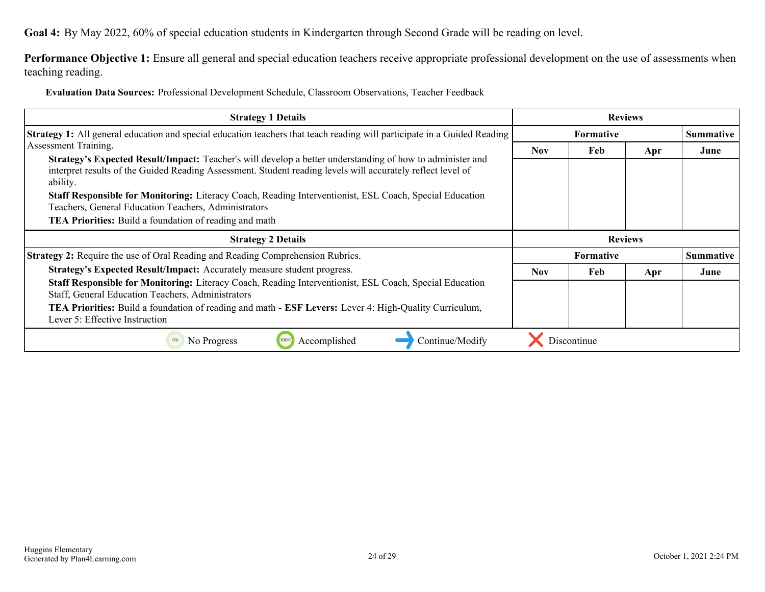<span id="page-23-0"></span>**Goal 4:** By May 2022, 60% of special education students in Kindergarten through Second Grade will be reading on level.

Performance Objective 1: Ensure all general and special education teachers receive appropriate professional development on the use of assessments when teaching reading.

**Evaluation Data Sources:** Professional Development Schedule, Classroom Observations, Teacher Feedback

| <b>Strategy 1 Details</b>                                                                                                                                                                                                                                                                                                                                                                                                              | <b>Reviews</b>   |                  |     |                  |
|----------------------------------------------------------------------------------------------------------------------------------------------------------------------------------------------------------------------------------------------------------------------------------------------------------------------------------------------------------------------------------------------------------------------------------------|------------------|------------------|-----|------------------|
| <b>Strategy 1:</b> All general education and special education teachers that teach reading will participate in a Guided Reading                                                                                                                                                                                                                                                                                                        | <b>Formative</b> |                  |     | <b>Summative</b> |
| Assessment Training.<br>Strategy's Expected Result/Impact: Teacher's will develop a better understanding of how to administer and<br>interpret results of the Guided Reading Assessment. Student reading levels will accurately reflect level of<br>ability.<br><b>Staff Responsible for Monitoring:</b> Literacy Coach, Reading Interventionist, ESL Coach, Special Education<br>Teachers, General Education Teachers, Administrators | <b>Nov</b>       | Feb              | Apr | June             |
| <b>TEA Priorities:</b> Build a foundation of reading and math                                                                                                                                                                                                                                                                                                                                                                          |                  |                  |     |                  |
| <b>Strategy 2 Details</b>                                                                                                                                                                                                                                                                                                                                                                                                              |                  | <b>Reviews</b>   |     |                  |
|                                                                                                                                                                                                                                                                                                                                                                                                                                        |                  |                  |     |                  |
| <b>Strategy 2:</b> Require the use of Oral Reading and Reading Comprehension Rubrics.                                                                                                                                                                                                                                                                                                                                                  |                  | <b>Formative</b> |     | <b>Summative</b> |
| Strategy's Expected Result/Impact: Accurately measure student progress.                                                                                                                                                                                                                                                                                                                                                                | <b>Nov</b>       | Feb              | Apr | June             |
| Staff Responsible for Monitoring: Literacy Coach, Reading Interventionist, ESL Coach, Special Education<br>Staff, General Education Teachers, Administrators<br><b>TEA Priorities:</b> Build a foundation of reading and math - <b>ESF Levers:</b> Lever 4: High-Quality Curriculum,<br>Lever 5: Effective Instruction                                                                                                                 |                  |                  |     |                  |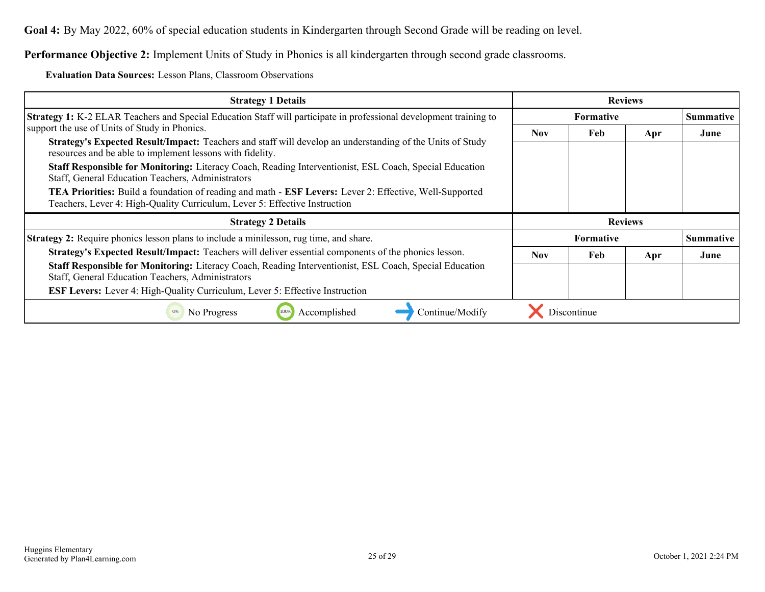**Goal 4:** By May 2022, 60% of special education students in Kindergarten through Second Grade will be reading on level.

**Performance Objective 2:** Implement Units of Study in Phonics is all kindergarten through second grade classrooms.

**Evaluation Data Sources:** Lesson Plans, Classroom Observations

| <b>Strategy 1 Details</b>                                                                                                                                                             | <b>Reviews</b>   |                  |     |                  |
|---------------------------------------------------------------------------------------------------------------------------------------------------------------------------------------|------------------|------------------|-----|------------------|
| <b>Strategy 1:</b> K-2 ELAR Teachers and Special Education Staff will participate in professional development training to                                                             |                  | <b>Summative</b> |     |                  |
| support the use of Units of Study in Phonics.                                                                                                                                         | <b>Nov</b>       | Feb              | Apr | June             |
| Strategy's Expected Result/Impact: Teachers and staff will develop an understanding of the Units of Study<br>resources and be able to implement lessons with fidelity.                |                  |                  |     |                  |
| Staff Responsible for Monitoring: Literacy Coach, Reading Interventionist, ESL Coach, Special Education<br>Staff, General Education Teachers, Administrators                          |                  |                  |     |                  |
| TEA Priorities: Build a foundation of reading and math - ESF Levers: Lever 2: Effective, Well-Supported<br>Teachers, Lever 4: High-Quality Curriculum, Lever 5: Effective Instruction |                  |                  |     |                  |
| <b>Strategy 2 Details</b>                                                                                                                                                             | <b>Reviews</b>   |                  |     |                  |
| <b>Strategy 2:</b> Require phonics lesson plans to include a minilesson, rug time, and share.                                                                                         | <b>Formative</b> |                  |     | <b>Summative</b> |
| <b>Strategy's Expected Result/Impact:</b> Teachers will deliver essential components of the phonics lesson.                                                                           | <b>Nov</b>       | Feb              | Apr | June             |
| Staff Responsible for Monitoring: Literacy Coach, Reading Interventionist, ESL Coach, Special Education<br>Staff, General Education Teachers, Administrators                          |                  |                  |     |                  |
| ESF Levers: Lever 4: High-Quality Curriculum, Lever 5: Effective Instruction                                                                                                          |                  |                  |     |                  |
| Continue/Modify<br>Accomplished<br>No Progress<br>0%                                                                                                                                  |                  | Discontinue      |     |                  |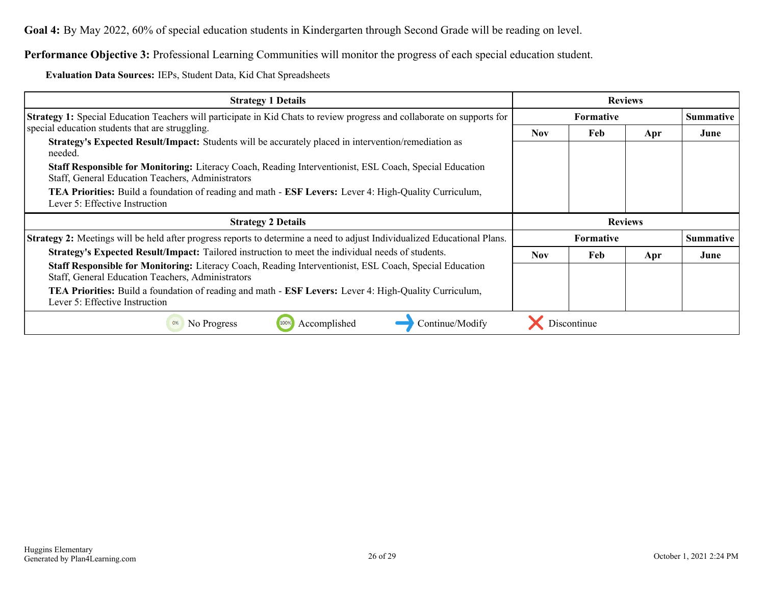**Goal 4:** By May 2022, 60% of special education students in Kindergarten through Second Grade will be reading on level.

**Performance Objective 3:** Professional Learning Communities will monitor the progress of each special education student.

**Evaluation Data Sources:** IEPs, Student Data, Kid Chat Spreadsheets

| <b>Strategy 1 Details</b>                                                                                                                                                                                                                                                                                                                                                                                                                                                                           |                  |                  | <b>Reviews</b> |                  |
|-----------------------------------------------------------------------------------------------------------------------------------------------------------------------------------------------------------------------------------------------------------------------------------------------------------------------------------------------------------------------------------------------------------------------------------------------------------------------------------------------------|------------------|------------------|----------------|------------------|
| Strategy 1: Special Education Teachers will participate in Kid Chats to review progress and collaborate on supports for                                                                                                                                                                                                                                                                                                                                                                             | <b>Formative</b> |                  |                | <b>Summative</b> |
| special education students that are struggling.<br>Strategy's Expected Result/Impact: Students will be accurately placed in intervention/remediation as<br>needed.<br><b>Staff Responsible for Monitoring:</b> Literacy Coach, Reading Interventionist, ESL Coach, Special Education<br>Staff, General Education Teachers, Administrators<br><b>TEA Priorities:</b> Build a foundation of reading and math - <b>ESF Levers:</b> Lever 4: High-Quality Curriculum,<br>Lever 5: Effective Instruction | Nov.             | Feb              | Apr            | June             |
|                                                                                                                                                                                                                                                                                                                                                                                                                                                                                                     |                  |                  |                |                  |
| <b>Strategy 2 Details</b>                                                                                                                                                                                                                                                                                                                                                                                                                                                                           |                  |                  | <b>Reviews</b> |                  |
| <b>Strategy 2:</b> Meetings will be held after progress reports to determine a need to adjust Individualized Educational Plans.                                                                                                                                                                                                                                                                                                                                                                     |                  | <b>Formative</b> |                | <b>Summative</b> |
| Strategy's Expected Result/Impact: Tailored instruction to meet the individual needs of students.                                                                                                                                                                                                                                                                                                                                                                                                   | <b>Nov</b>       | Feb              | Apr            | June             |
| Staff Responsible for Monitoring: Literacy Coach, Reading Interventionist, ESL Coach, Special Education<br>Staff, General Education Teachers, Administrators<br><b>TEA Priorities:</b> Build a foundation of reading and math - <b>ESF Levers:</b> Lever 4: High-Quality Curriculum,                                                                                                                                                                                                                |                  |                  |                |                  |
| Lever 5: Effective Instruction                                                                                                                                                                                                                                                                                                                                                                                                                                                                      |                  |                  |                |                  |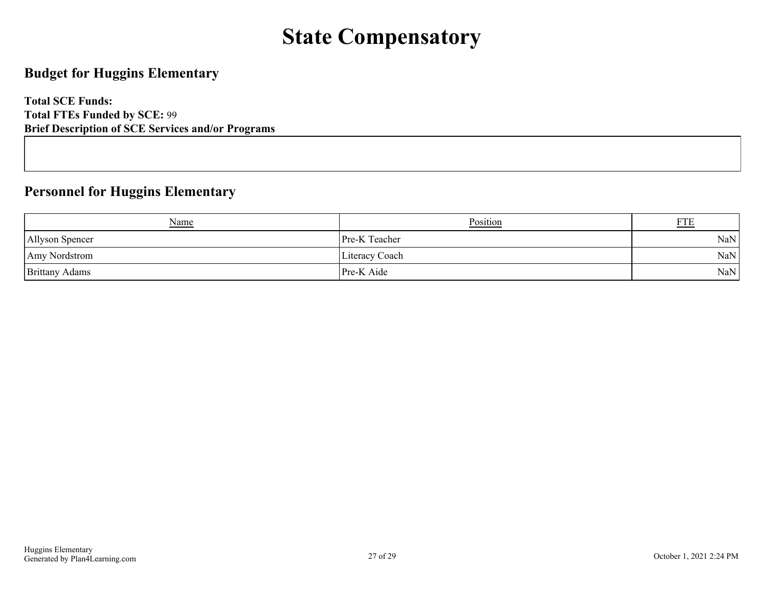## **State Compensatory**

### <span id="page-26-0"></span>**Budget for Huggins Elementary**

**Total SCE Funds: Total FTEs Funded by SCE:** 99 **Brief Description of SCE Services and/or Programs**

### **Personnel for Huggins Elementary**

| <b>Name</b>           | <b>Position</b>      | <b>FTE</b> |
|-----------------------|----------------------|------------|
| Allyson Spencer       | <b>Pre-K</b> Teacher | NaN        |
| Amy Nordstrom         | Literacy Coach       | NaN        |
| <b>Brittany Adams</b> | Pre-K Aide           | NaN        |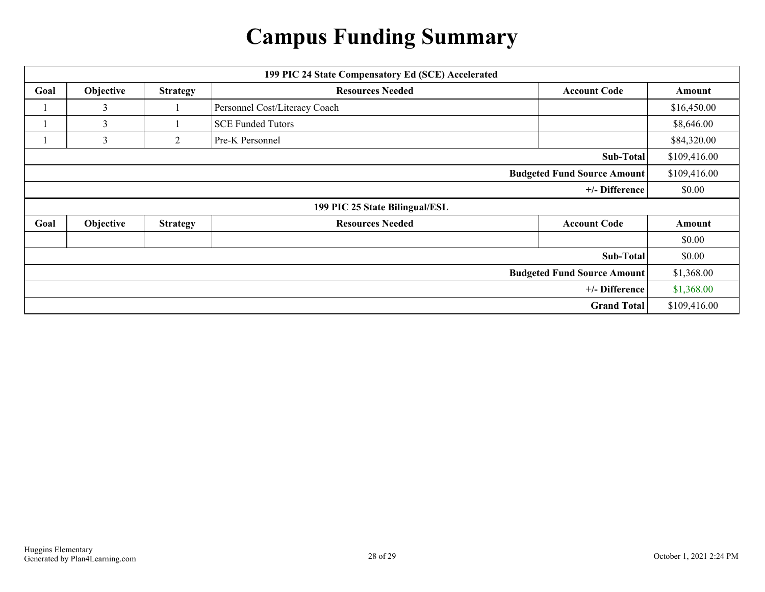## **Campus Funding Summary**

<span id="page-27-0"></span>

| 199 PIC 24 State Compensatory Ed (SCE) Accelerated |           |                 |                                |                                    |              |  |  |
|----------------------------------------------------|-----------|-----------------|--------------------------------|------------------------------------|--------------|--|--|
| Goal                                               | Objective | <b>Strategy</b> | <b>Resources Needed</b>        | <b>Account Code</b>                | Amount       |  |  |
|                                                    | 3         |                 | Personnel Cost/Literacy Coach  |                                    | \$16,450.00  |  |  |
|                                                    | 3         |                 | <b>SCE Funded Tutors</b>       |                                    | \$8,646.00   |  |  |
|                                                    | 3         | 2               | Pre-K Personnel                |                                    | \$84,320.00  |  |  |
| <b>Sub-Total</b>                                   |           |                 |                                |                                    |              |  |  |
|                                                    |           |                 |                                | <b>Budgeted Fund Source Amount</b> | \$109,416.00 |  |  |
|                                                    |           |                 |                                | +/- Difference                     | \$0.00       |  |  |
|                                                    |           |                 | 199 PIC 25 State Bilingual/ESL |                                    |              |  |  |
| Goal                                               | Objective | <b>Strategy</b> | <b>Resources Needed</b>        | <b>Account Code</b>                | Amount       |  |  |
|                                                    |           |                 |                                |                                    | \$0.00       |  |  |
|                                                    |           |                 |                                | Sub-Total                          | \$0.00       |  |  |
|                                                    |           |                 |                                | <b>Budgeted Fund Source Amount</b> | \$1,368.00   |  |  |
|                                                    |           |                 |                                | +/- Difference                     | \$1,368.00   |  |  |
|                                                    |           |                 |                                | <b>Grand Total</b>                 | \$109,416.00 |  |  |